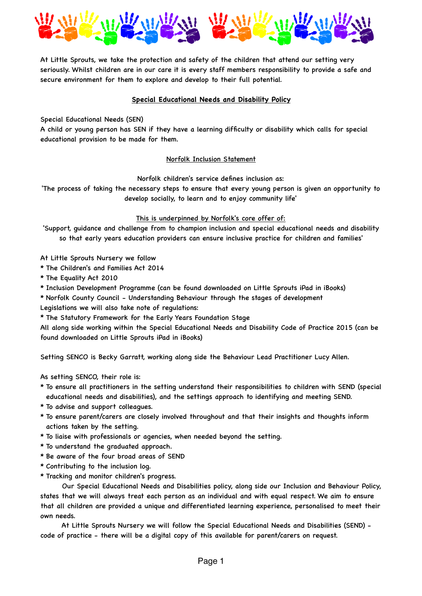

At Little Sprouts, we take the protection and safety of the children that attend our setting very seriously. Whilst children are in our care it is every staff members responsibility to provide a safe and secure environment for them to explore and develop to their full potential.

## **Special Educational Needs and Disability Policy**

Special Educational Needs (SEN)

A child or young person has SEN if they have a learning difficulty or disability which calls for special educational provision to be made for them.

### Norfolk Inclusion Statement

Norfolk children's service defines inclusion as:

'The process of taking the necessary steps to ensure that every young person is given an opportunity to develop socially, to learn and to enjoy community life'

#### This is underpinned by Norfolk's core offer of:

'Support, guidance and challenge from to champion inclusion and special educational needs and disability so that early years education providers can ensure inclusive practice for children and families'

At Little Sprouts Nursery we follow

\* The Children's and Families Act 2014

\* The Equality Act 2010

\* Inclusion Development Programme (can be found downloaded on Little Sprouts iPad in iBooks)

\* Norfolk County Council - Understanding Behaviour through the stages of development

Legislations we will also take note of regulations:

\* The Statutory Framework for the Early Years Foundation Stage

All along side working within the Special Educational Needs and Disability Code of Practice 2015 (can be found downloaded on Little Sprouts iPad in iBooks)

Setting SENCO is Becky Garratt, working along side the Behaviour Lead Practitioner Lucy Allen.

As setting SENCO, their role is:

- \* To ensure all practitioners in the setting understand their responsibilities to children with SEND (special educational needs and disabilities), and the settings approach to identifying and meeting SEND.
- \* To advise and support colleagues.
- \* To ensure parent/carers are closely involved throughout and that their insights and thoughts inform actions taken by the setting.
- \* To liaise with professionals or agencies, when needed beyond the setting.
- \* To understand the graduated approach.
- \* Be aware of the four broad areas of SEND
- \* Contributing to the inclusion log.
- \* Tracking and monitor children's progress.

 Our Special Educational Needs and Disabilities policy, along side our Inclusion and Behaviour Policy, states that we will always treat each person as an individual and with equal respect. We aim to ensure that all children are provided a unique and differentiated learning experience, personalised to meet their own needs.

 At Little Sprouts Nursery we will follow the Special Educational Needs and Disabilities (SEND) code of practice - there will be a digital copy of this available for parent/carers on request.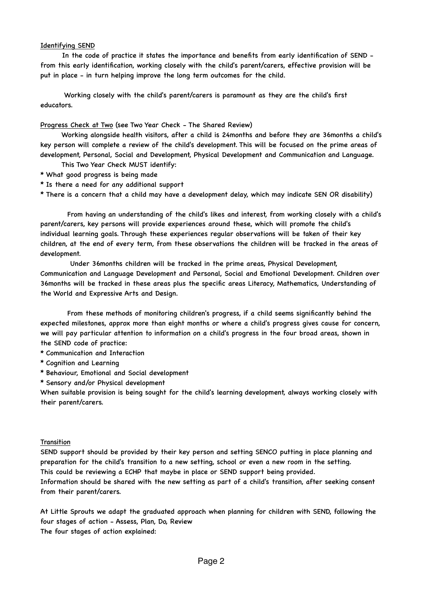# Identifying SEND

 In the code of practice it states the importance and benefits from early identification of SEND from this early identification, working closely with the child's parent/carers, effective provision will be put in place - in turn helping improve the long term outcomes for the child.

 Working closely with the child's parent/carers is paramount as they are the child's first educators.

# Progress Check at Two (see Two Year Check - The Shared Review)

 Working alongside health visitors, after a child is 24months and before they are 36months a child's key person will complete a review of the child's development. This will be focused on the prime areas of development, Personal, Social and Development, Physical Development and Communication and Language.

- This Two Year Check MUST identify:
- \* What good progress is being made
- \* Is there a need for any additional support

\* There is a concern that a child may have a development delay, which may indicate SEN OR disability)

 From having an understanding of the child's likes and interest, from working closely with a child's parent/carers, key persons will provide experiences around these, which will promote the child's individual learning goals. Through these experiences regular observations will be taken of their key children, at the end of every term, from these observations the children will be tracked in the areas of development.

 Under 36months children will be tracked in the prime areas, Physical Development, Communication and Language Development and Personal, Social and Emotional Development. Children over 36months will be tracked in these areas plus the specific areas Literacy, Mathematics, Understanding of the World and Expressive Arts and Design.

 From these methods of monitoring children's progress, if a child seems significantly behind the expected milestones, approx more than eight months or where a child's progress gives cause for concern, we will pay particular attention to information on a child's progress in the four broad areas, shown in the SEND code of practice:

- \* Communication and Interaction
- \* Cognition and Learning
- \* Behaviour, Emotional and Social development

\* Sensory and/or Physical development

When suitable provision is being sought for the child's learning development, always working closely with their parent/carers.

# Transition

SEND support should be provided by their key person and setting SENCO putting in place planning and preparation for the child's transition to a new setting, school or even a new room in the setting. This could be reviewing a ECHP that maybe in place or SEND support being provided.

Information should be shared with the new setting as part of a child's transition, after seeking consent from their parent/carers.

At Little Sprouts we adapt the graduated approach when planning for children with SEND, following the four stages of action - Assess, Plan, Do, Review

The four stages of action explained: